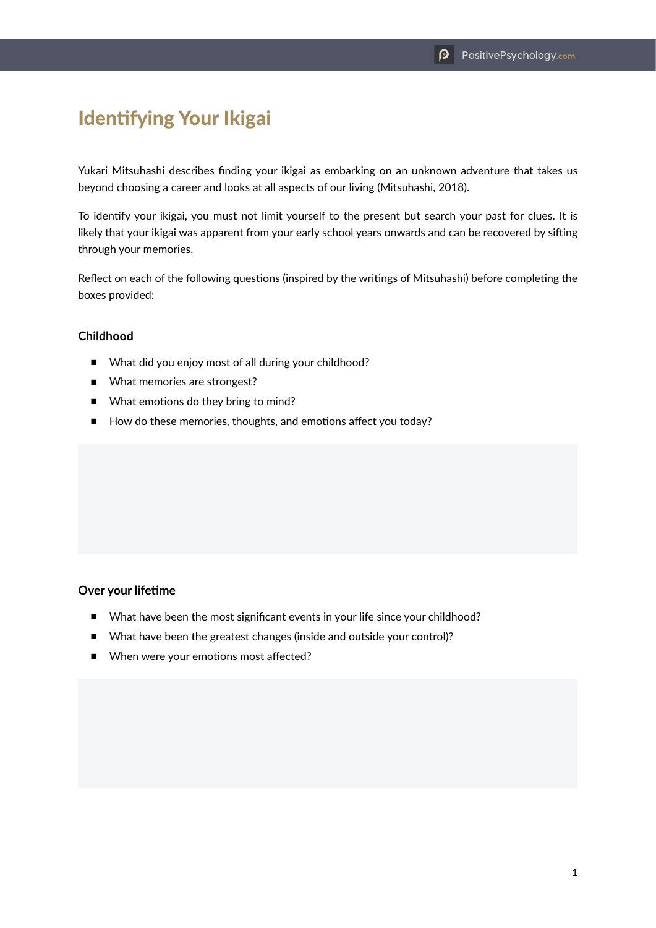# Identifying Your Ikigai

Yukari Mitsuhashi describes finding your ikigai as embarking on an unknown adventure that takes us beyond choosing a career and looks at all aspects of our living (Mitsuhashi, 2018).

To identify your ikigai, you must not limit yourself to the present but search your past for clues. It is likely that your ikigai was apparent from your early school years onwards and can be recovered by sifting through your memories.

Reflect on each of the following questions (inspired by the writings of Mitsuhashi) before completing the boxes provided:

# **Childhood**

- What did you enjoy most of all during your childhood?
- What memories are strongest?
- What emotions do they bring to mind?
- How do these memories, thoughts, and emotions affect you today?

# **Over your lifetime**

- What have been the most significant events in your life since your childhood?
- What have been the greatest changes (inside and outside your control)?
- When were your emotions most affected?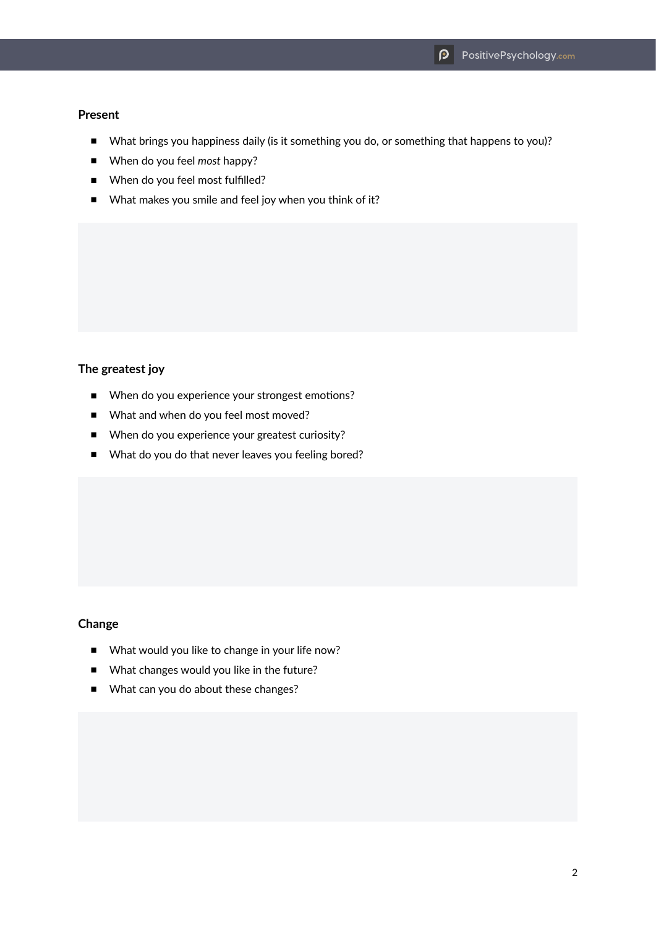## **Present**

- What brings you happiness daily (is it something you do, or something that happens to you)?
- When do you feel *most* happy?
- When do you feel most fulfilled?
- What makes you smile and feel joy when you think of it?

# **The greatest joy**

- When do you experience your strongest emotions?
- What and when do you feel most moved?
- When do you experience your greatest curiosity?
- What do you do that never leaves you feeling bored?

# **Change**

- What would you like to change in your life now?
- What changes would you like in the future?
- What can you do about these changes?